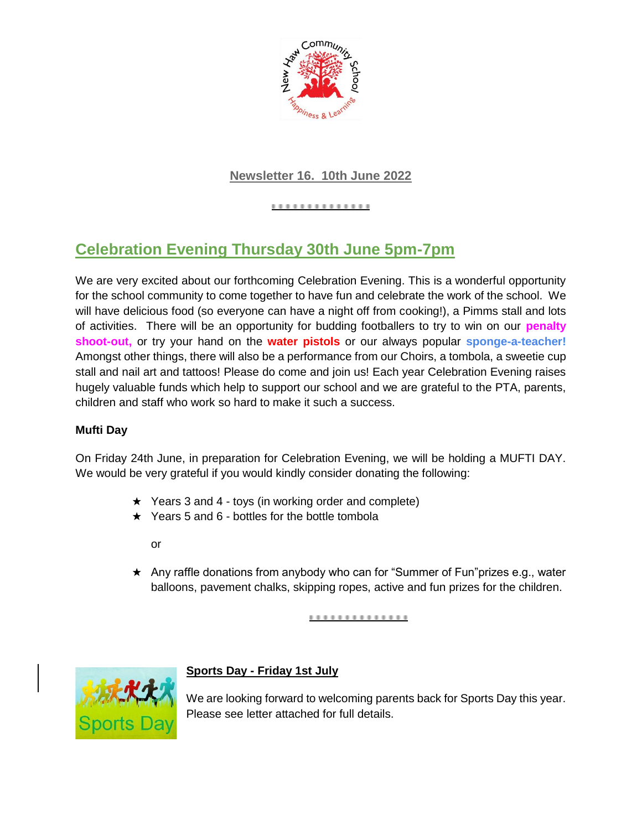

## **Newsletter 16. 10th June 2022**

..............

# **Celebration Evening Thursday 30th June 5pm-7pm**

We are very excited about our forthcoming Celebration Evening. This is a wonderful opportunity for the school community to come together to have fun and celebrate the work of the school. We will have delicious food (so everyone can have a night off from cooking!), a Pimms stall and lots of activities. There will be an opportunity for budding footballers to try to win on our **penalty shoot-out,** or try your hand on the **water pistols** or our always popular **sponge-a-teacher!**  Amongst other things, there will also be a performance from our Choirs, a tombola, a sweetie cup stall and nail art and tattoos! Please do come and join us! Each year Celebration Evening raises hugely valuable funds which help to support our school and we are grateful to the PTA, parents, children and staff who work so hard to make it such a success.

### **Mufti Day**

On Friday 24th June, in preparation for Celebration Evening, we will be holding a MUFTI DAY. We would be very grateful if you would kindly consider donating the following:

- ★ Years 3 and 4 toys (in working order and complete)
- $\star$  Years 5 and 6 bottles for the bottle tombola

or

★ Any raffle donations from anybody who can for "Summer of Fun"prizes e.g., water balloons, pavement chalks, skipping ropes, active and fun prizes for the children.

<u>...............</u>



## **Sports Day - Friday 1st July**

We are looking forward to welcoming parents back for Sports Day this year. Please see letter attached for full details.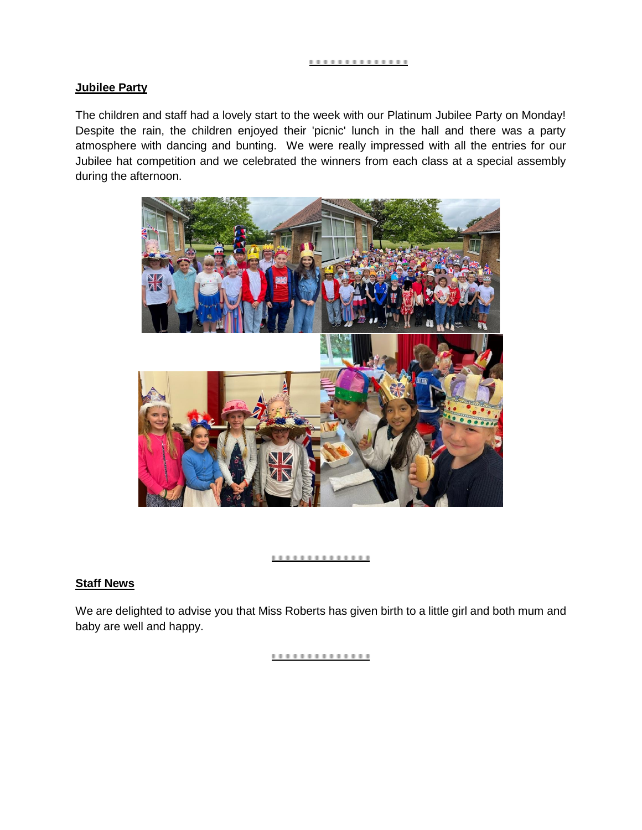#### **Jubilee Party**

The children and staff had a lovely start to the week with our Platinum Jubilee Party on Monday! Despite the rain, the children enjoyed their 'picnic' lunch in the hall and there was a party atmosphere with dancing and bunting. We were really impressed with all the entries for our Jubilee hat competition and we celebrated the winners from each class at a special assembly during the afternoon.



#### ............

### **Staff News**

We are delighted to advise you that Miss Roberts has given birth to a little girl and both mum and baby are well and happy.

..............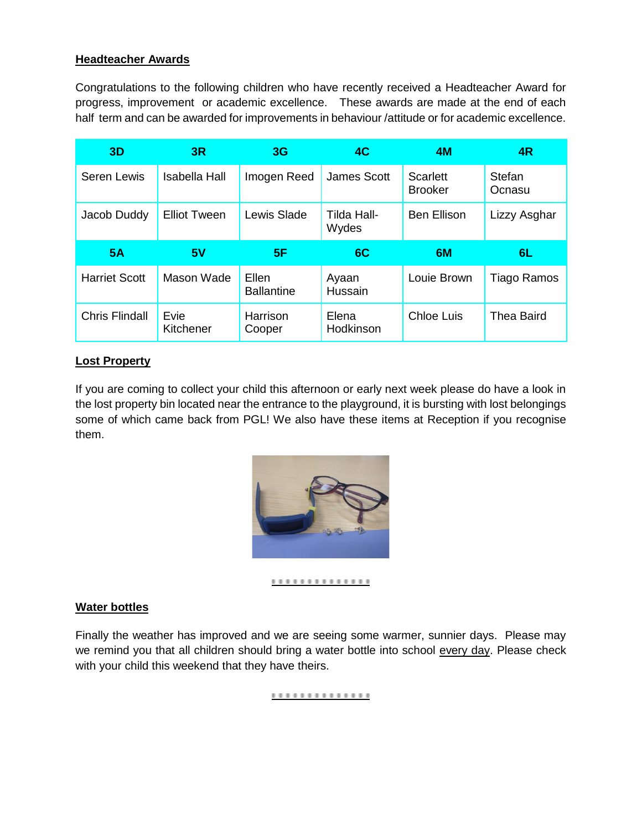### **Headteacher Awards**

Congratulations to the following children who have recently received a Headteacher Award for progress, improvement or academic excellence. These awards are made at the end of each half term and can be awarded for improvements in behaviour /attitude or for academic excellence.

| 3D                   | 3R                   | 3 <sub>G</sub>             | 4C                   | 4M                                | 4R               |
|----------------------|----------------------|----------------------------|----------------------|-----------------------------------|------------------|
| <b>Seren Lewis</b>   | <b>Isabella Hall</b> | Imogen Reed                | <b>James Scott</b>   | <b>Scarlett</b><br><b>Brooker</b> | Stefan<br>Ocnasu |
| Jacob Duddy          | <b>Elliot Tween</b>  | Lewis Slade                | Tilda Hall-<br>Wydes | <b>Ben Ellison</b>                | Lizzy Asghar     |
|                      |                      |                            |                      |                                   |                  |
| 5A                   | 5V                   | 5F                         | 6C                   | 6M                                | 6L.              |
| <b>Harriet Scott</b> | Mason Wade           | Ellen<br><b>Ballantine</b> | Ayaan<br>Hussain     | Louie Brown                       | Tiago Ramos      |

#### **Lost Property**

If you are coming to collect your child this afternoon or early next week please do have a look in the lost property bin located near the entrance to the playground, it is bursting with lost belongings some of which came back from PGL! We also have these items at Reception if you recognise them.



#### ..............

#### **Water bottles**

Finally the weather has improved and we are seeing some warmer, sunnier days. Please may we remind you that all children should bring a water bottle into school every day. Please check with your child this weekend that they have theirs.

..............